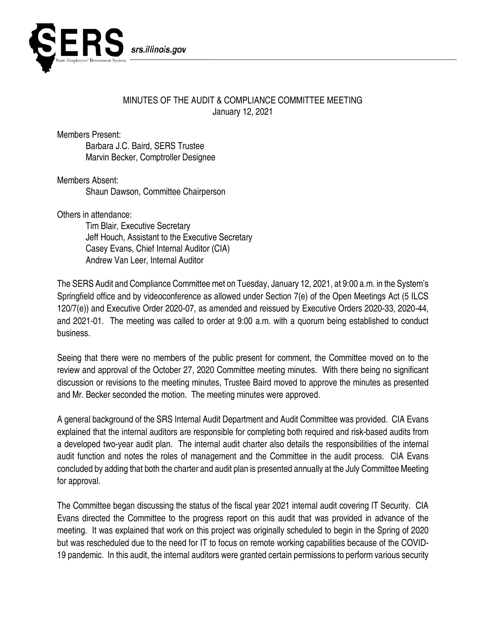

## MINUTES OF THE AUDIT & COMPLIANCE COMMITTEE MEETING January 12, 2021

Members Present:

Barbara J.C. Baird, SERS Trustee Marvin Becker, Comptroller Designee

Members Absent: Shaun Dawson, Committee Chairperson

Others in attendance:

Tim Blair, Executive Secretary Jeff Houch, Assistant to the Executive Secretary Casey Evans, Chief Internal Auditor (CIA) Andrew Van Leer, Internal Auditor

The SERS Audit and Compliance Committee met on Tuesday, January 12, 2021, at 9:00 a.m. in the System's Springfield office and by videoconference as allowed under Section 7(e) of the Open Meetings Act (5 ILCS 120/7(e)) and Executive Order 2020-07, as amended and reissued by Executive Orders 2020-33, 2020-44, and 2021-01. The meeting was called to order at 9:00 a.m. with a quorum being established to conduct business.

Seeing that there were no members of the public present for comment, the Committee moved on to the review and approval of the October 27, 2020 Committee meeting minutes. With there being no significant discussion or revisions to the meeting minutes, Trustee Baird moved to approve the minutes as presented and Mr. Becker seconded the motion. The meeting minutes were approved.

A general background of the SRS Internal Audit Department and Audit Committee was provided. CIA Evans explained that the internal auditors are responsible for completing both required and risk-based audits from a developed two-year audit plan. The internal audit charter also details the responsibilities of the internal audit function and notes the roles of management and the Committee in the audit process. CIA Evans concluded by adding that both the charter and audit plan is presented annually at the July Committee Meeting for approval.

The Committee began discussing the status of the fiscal year 2021 internal audit covering IT Security. CIA Evans directed the Committee to the progress report on this audit that was provided in advance of the meeting. It was explained that work on this project was originally scheduled to begin in the Spring of 2020 but was rescheduled due to the need for IT to focus on remote working capabilities because of the COVID-19 pandemic. In this audit, the internal auditors were granted certain permissions to perform various security